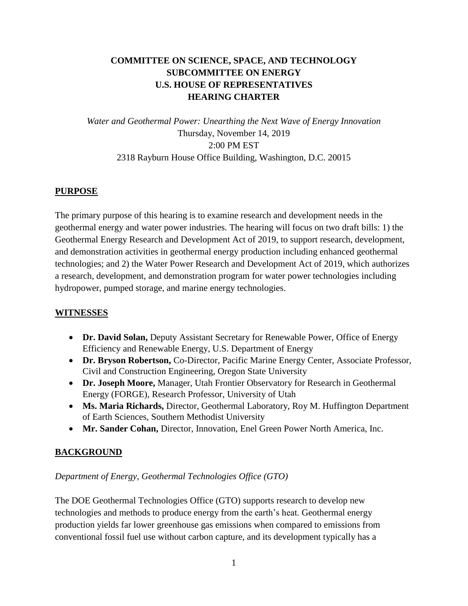# **COMMITTEE ON SCIENCE, SPACE, AND TECHNOLOGY SUBCOMMITTEE ON ENERGY U.S. HOUSE OF REPRESENTATIVES HEARING CHARTER**

*Water and Geothermal Power: Unearthing the Next Wave of Energy Innovation* Thursday, November 14, 2019 2:00 PM EST 2318 Rayburn House Office Building, Washington, D.C. 20015

## **PURPOSE**

The primary purpose of this hearing is to examine research and development needs in the geothermal energy and water power industries. The hearing will focus on two draft bills: 1) the Geothermal Energy Research and Development Act of 2019, to support research, development, and demonstration activities in geothermal energy production including enhanced geothermal technologies; and 2) the Water Power Research and Development Act of 2019, which authorizes a research, development, and demonstration program for water power technologies including hydropower, pumped storage, and marine energy technologies.

## **WITNESSES**

- **Dr. David Solan,** Deputy Assistant Secretary for Renewable Power, Office of Energy Efficiency and Renewable Energy, U.S. Department of Energy
- **Dr. Bryson Robertson,** Co-Director, Pacific Marine Energy Center, Associate Professor, Civil and Construction Engineering, Oregon State University
- **Dr. Joseph Moore,** Manager, Utah Frontier Observatory for Research in Geothermal Energy (FORGE), Research Professor, University of Utah
- **Ms. Maria Richards,** Director, Geothermal Laboratory, Roy M. Huffington Department of Earth Sciences, Southern Methodist University
- **Mr. Sander Cohan,** Director, Innovation, Enel Green Power North America, Inc.

## **BACKGROUND**

## *Department of Energy, Geothermal Technologies Office (GTO)*

The DOE Geothermal Technologies Office (GTO) supports research to develop new technologies and methods to produce energy from the earth's heat. Geothermal energy production yields far lower greenhouse gas emissions when compared to emissions from conventional fossil fuel use without carbon capture, and its development typically has a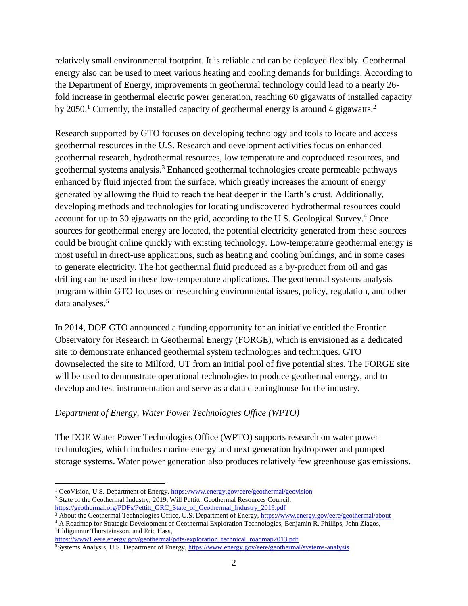relatively small environmental footprint. It is reliable and can be deployed flexibly. Geothermal energy also can be used to meet various heating and cooling demands for buildings. According to the Department of Energy, improvements in geothermal technology could lead to a nearly 26 fold increase in geothermal electric power generation, reaching 60 gigawatts of installed capacity by 2050.<sup>1</sup> Currently, the installed capacity of geothermal energy is around 4 gigawatts.<sup>2</sup>

Research supported by GTO focuses on developing technology and tools to locate and access geothermal resources in the U.S. Research and development activities focus on enhanced geothermal research, hydrothermal resources, low temperature and coproduced resources, and geothermal systems analysis.<sup>3</sup> Enhanced geothermal technologies create permeable pathways enhanced by fluid injected from the surface, which greatly increases the amount of energy generated by allowing the fluid to reach the heat deeper in the Earth's crust. Additionally, developing methods and technologies for locating undiscovered hydrothermal resources could account for up to 30 gigawatts on the grid, according to the U.S. Geological Survey.<sup>4</sup> Once sources for geothermal energy are located, the potential electricity generated from these sources could be brought online quickly with existing technology. Low-temperature geothermal energy is most useful in direct-use applications, such as heating and cooling buildings, and in some cases to generate electricity. The hot geothermal fluid produced as a by-product from oil and gas drilling can be used in these low-temperature applications. The geothermal systems analysis program within GTO focuses on researching environmental issues, policy, regulation, and other data analyses.<sup>5</sup>

In 2014, DOE GTO announced a funding opportunity for an initiative entitled the Frontier Observatory for Research in Geothermal Energy (FORGE), which is envisioned as a dedicated site to demonstrate enhanced geothermal system technologies and techniques. GTO downselected the site to Milford, UT from an initial pool of five potential sites. The FORGE site will be used to demonstrate operational technologies to produce geothermal energy, and to develop and test instrumentation and serve as a data clearinghouse for the industry.

## *Department of Energy, Water Power Technologies Office (WPTO)*

The DOE Water Power Technologies Office (WPTO) supports research on water power technologies, which includes marine energy and next generation hydropower and pumped storage systems. Water power generation also produces relatively few greenhouse gas emissions.

 $\overline{a}$ 

<sup>&</sup>lt;sup>1</sup> GeoVision, U.S. Department of Energy,<https://www.energy.gov/eere/geothermal/geovision>

<sup>&</sup>lt;sup>2</sup> State of the Geothermal Industry, 2019, Will Pettitt, Geothermal Resources Council, [https://geothermal.org/PDFs/Pettitt\\_GRC\\_State\\_of\\_Geothermal\\_Industry\\_2019.pdf](https://geothermal.org/PDFs/Pettitt_GRC_State_of_Geothermal_Industry_2019.pdf)

<sup>3</sup> About the Geothermal Technologies Office, U.S. Department of Energy,<https://www.energy.gov/eere/geothermal/about>

<sup>4</sup> A Roadmap for Strategic Development of Geothermal Exploration Technologies, Benjamin R. Phillips, John Ziagos, Hildigunnur Thorsteinsson, and Eric Hass,

[https://www1.eere.energy.gov/geothermal/pdfs/exploration\\_technical\\_roadmap2013.pdf](https://www1.eere.energy.gov/geothermal/pdfs/exploration_technical_roadmap2013.pdf)

<sup>5</sup>Systems Analysis, U.S. Department of Energy[, https://www.energy.gov/eere/geothermal/systems-analysis](https://www.energy.gov/eere/geothermal/systems-analysis)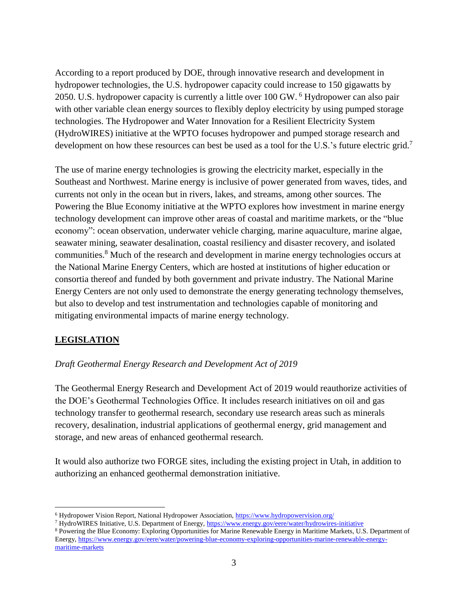According to a report produced by DOE, through innovative research and development in hydropower technologies, the U.S. hydropower capacity could increase to 150 gigawatts by 2050. U.S. hydropower capacity is currently a little over 100 GW. <sup>6</sup> Hydropower can also pair with other variable clean energy sources to flexibly deploy electricity by using pumped storage technologies. The Hydropower and Water Innovation for a Resilient Electricity System (HydroWIRES) initiative at the WPTO focuses hydropower and pumped storage research and development on how these resources can best be used as a tool for the U.S.'s future electric grid.<sup>7</sup>

The use of marine energy technologies is growing the electricity market, especially in the Southeast and Northwest. Marine energy is inclusive of power generated from waves, tides, and currents not only in the ocean but in rivers, lakes, and streams, among other sources. The Powering the Blue Economy initiative at the WPTO explores how investment in marine energy technology development can improve other areas of coastal and maritime markets, or the "blue economy": ocean observation, underwater vehicle charging, marine aquaculture, marine algae, seawater mining, seawater desalination, coastal resiliency and disaster recovery, and isolated communities.<sup>8</sup> Much of the research and development in marine energy technologies occurs at the National Marine Energy Centers, which are hosted at institutions of higher education or consortia thereof and funded by both government and private industry. The National Marine Energy Centers are not only used to demonstrate the energy generating technology themselves, but also to develop and test instrumentation and technologies capable of monitoring and mitigating environmental impacts of marine energy technology.

## **LEGISLATION**

## *Draft Geothermal Energy Research and Development Act of 2019*

The Geothermal Energy Research and Development Act of 2019 would reauthorize activities of the DOE's Geothermal Technologies Office. It includes research initiatives on oil and gas technology transfer to geothermal research, secondary use research areas such as minerals recovery, desalination, industrial applications of geothermal energy, grid management and storage, and new areas of enhanced geothermal research.

It would also authorize two FORGE sites, including the existing project in Utah, in addition to authorizing an enhanced geothermal demonstration initiative.

 $\overline{a}$ <sup>6</sup> Hydropower Vision Report, National Hydropower Association,<https://www.hydropowervision.org/>

<sup>7</sup> HydroWIRES Initiative, U.S. Department of Energy[, https://www.energy.gov/eere/water/hydrowires-initiative](https://www.energy.gov/eere/water/hydrowires-initiative)

<sup>8</sup> Powering the Blue Economy: Exploring Opportunities for Marine Renewable Energy in Maritime Markets, U.S. Department of Energy, [https://www.energy.gov/eere/water/powering-blue-economy-exploring-opportunities-marine-renewable-energy](https://www.energy.gov/eere/water/powering-blue-economy-exploring-opportunities-marine-renewable-energy-maritime-markets)[maritime-markets](https://www.energy.gov/eere/water/powering-blue-economy-exploring-opportunities-marine-renewable-energy-maritime-markets)